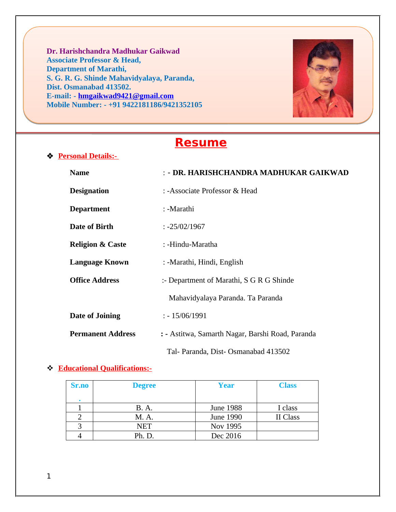**Dr. Harishchandra Madhukar Gaikwad Associate Professor & Head, Department of Marathi, S. G. R. G. Shinde Mahavidyalaya, Paranda, Dist. Osmanabad 413502. E-mail: - hmgaikwad9421@gmail.com Mobile Number: - +91 9422181186/9421352105**



# **Resume**

| ❖ | <b>Personal Details:-</b> |
|---|---------------------------|
|   |                           |

| <b>Name</b>                 | : - DR. HARISHCHANDRA MADHUKAR GAIKWAD           |  |  |
|-----------------------------|--------------------------------------------------|--|--|
| <b>Designation</b>          | : -Associate Professor & Head                    |  |  |
| <b>Department</b>           | : -Marathi                                       |  |  |
| Date of Birth               | $: -25/02/1967$                                  |  |  |
| <b>Religion &amp; Caste</b> | : -Hindu-Maratha                                 |  |  |
| <b>Language Known</b>       | : -Marathi, Hindi, English                       |  |  |
| <b>Office Address</b>       | :- Department of Marathi, S G R G Shinde         |  |  |
|                             | Mahavidyalaya Paranda. Ta Paranda                |  |  |
| Date of Joining             | $: -15/06/1991$                                  |  |  |
| <b>Permanent Address</b>    | : - Astitwa, Samarth Nagar, Barshi Road, Paranda |  |  |
|                             | Tal- Paranda, Dist- Osmanabad 413502             |  |  |

#### **Educational Qualifications:-**

| Sr.no | <b>Degree</b> | Year             | <b>Class</b> |
|-------|---------------|------------------|--------------|
|       |               |                  |              |
|       | B. A.         | <b>June 1988</b> | I class      |
|       | M. A.         | June 1990        | II Class     |
|       | <b>NET</b>    | Nov 1995         |              |
|       | Ph. D.        | Dec 2016         |              |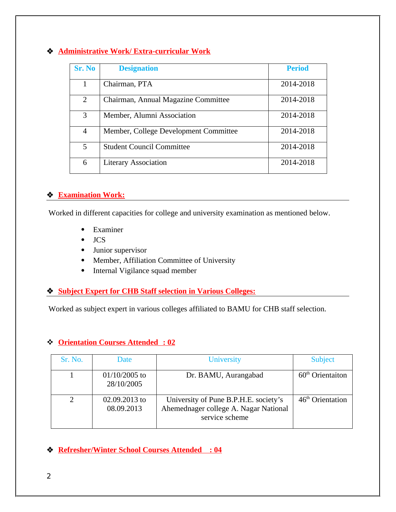#### **Administrative Work/ Extra-curricular Work**

| Sr. No | <b>Designation</b>                    | <b>Period</b> |
|--------|---------------------------------------|---------------|
| 1      | Chairman, PTA                         | 2014-2018     |
| 2      | Chairman, Annual Magazine Committee   | 2014-2018     |
| 3      | Member, Alumni Association            | 2014-2018     |
| 4      | Member, College Development Committee | 2014-2018     |
| 5      | <b>Student Council Committee</b>      | 2014-2018     |
| 6      | <b>Literary Association</b>           | 2014-2018     |

#### **Examination Work:**

Worked in different capacities for college and university examination as mentioned below.

- Examiner
- $\bullet$  JCS
- Junior supervisor
- Member, Affiliation Committee of University
- Internal Vigilance squad member

#### **Subject Expert for CHB Staff selection in Various Colleges:**

Worked as subject expert in various colleges affiliated to BAMU for CHB staff selection.

### **Orientation Courses Attended : 02**

| Sr. No. | <b>Date</b>                 | <b>University</b>                                                                                | <b>Subject</b>               |
|---------|-----------------------------|--------------------------------------------------------------------------------------------------|------------------------------|
|         | 01/10/2005 to<br>28/10/2005 | Dr. BAMU, Aurangabad                                                                             | $60th$ Orientaiton           |
|         | 02.09.2013 to<br>08.09.2013 | University of Pune B.P.H.E. society's<br>Ahemednager college A. Nagar National<br>service scheme | 46 <sup>th</sup> Orientation |

 **Refresher/Winter School Courses Attended : 04**

2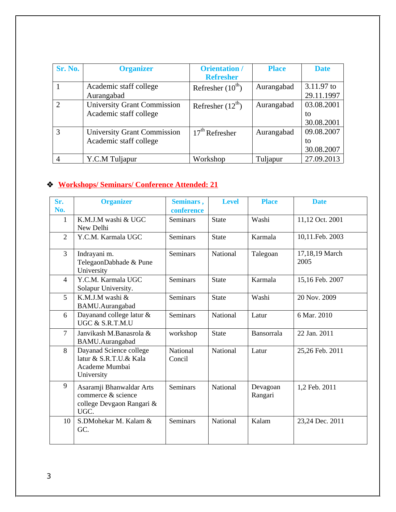| Sr. No.       | <b>Organizer</b>                                             | <b>Orientation /</b><br><b>Refresher</b> | <b>Place</b> | <b>Date</b>                    |
|---------------|--------------------------------------------------------------|------------------------------------------|--------------|--------------------------------|
|               | Academic staff college<br>Aurangabad                         | Refresher $(10^{th})$                    | Aurangabad   | 3.11.97 to<br>29.11.1997       |
| $\mathcal{D}$ | <b>University Grant Commission</b><br>Academic staff college | Refresher $(12^{th})$                    | Aurangabad   | 03.08.2001<br>tο<br>30.08.2001 |
| 3             | <b>University Grant Commission</b><br>Academic staff college | 17 <sup>th</sup> Refresher               | Aurangabad   | 09.08.2007<br>tο<br>30.08.2007 |
|               | Y.C.M Tuljapur                                               | Workshop                                 | Tuljapur     | 27.09.2013                     |

## **Workshops/ Seminars/ Conference Attended: 21**

| Sr.<br>No.     | <b>Organizer</b>                                                                    | Seminars,<br>conference   | <b>Level</b> | <b>Place</b>        | <b>Date</b>            |
|----------------|-------------------------------------------------------------------------------------|---------------------------|--------------|---------------------|------------------------|
| $\mathbf{1}$   | K.M.J.M washi & UGC<br>New Delhi                                                    | <b>Seminars</b>           | <b>State</b> | Washi               | 11,12 Oct. 2001        |
| $\overline{2}$ | Y.C.M. Karmala UGC                                                                  | <b>Seminars</b>           | <b>State</b> | Karmala             | 10,11.Feb. 2003        |
| 3              | Indrayani m.<br>TelegaonDabhade & Pune<br>University                                | <b>Seminars</b>           | National     | Talegoan            | 17,18,19 March<br>2005 |
| 4              | Y.C.M. Karmala UGC<br>Solapur University.                                           | <b>Seminars</b>           | <b>State</b> | Karmala             | 15,16 Feb. 2007        |
| 5              | K.M.J.M washi &<br>BAMU.Aurangabad                                                  | <b>Seminars</b>           | <b>State</b> | Washi               | 20 Nov. 2009           |
| 6              | Dayanand college latur &<br>UGC & S.R.T.M.U                                         | <b>Seminars</b>           | National     | Latur               | 6 Mar. 2010            |
| $\overline{7}$ | Janvikash M.Banasrola &<br>BAMU.Aurangabad                                          | workshop                  | <b>State</b> | Bansorrala          | 22 Jan. 2011           |
| 8              | Dayanad Science college<br>latur & S.R.T.U.& Kala<br>Academe Mumbai<br>University   | <b>National</b><br>Concil | National     | Latur               | 25,26 Feb. 2011        |
| 9              | Asaramji Bhanwaldar Arts<br>commerce & science<br>college Devgaon Rangari &<br>UGC. | <b>Seminars</b>           | National     | Devagoan<br>Rangari | 1,2 Feb. 2011          |
| 10             | S.DMohekar M. Kalam &<br>GC.                                                        | <b>Seminars</b>           | National     | Kalam               | 23,24 Dec. 2011        |